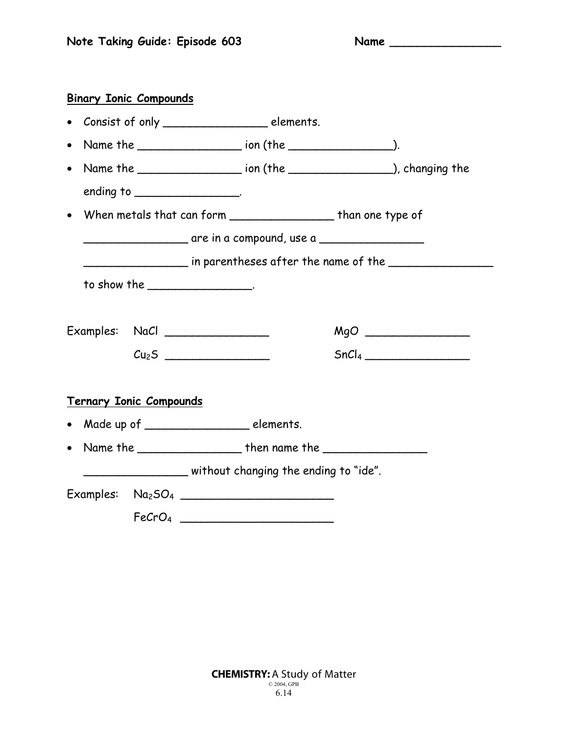| <b>Binary Ionic Compounds</b>    |                                |                                                                                  |                   |
|----------------------------------|--------------------------------|----------------------------------------------------------------------------------|-------------------|
|                                  |                                | • Consist of only __________________________ elements.                           |                   |
| $\bullet$                        |                                |                                                                                  |                   |
| $\bullet$                        |                                | Name the ______________________ ion (the __________________), changing the       |                   |
|                                  | ending to $\frac{1}{2}$ .      |                                                                                  |                   |
|                                  |                                | • When metals that can form ______________________ than one type of              |                   |
|                                  |                                | _____________________________ are in a compound, use a _________________________ |                   |
|                                  |                                |                                                                                  |                   |
|                                  | to show the _________________. |                                                                                  |                   |
|                                  |                                |                                                                                  |                   |
| Examples: NaCl _________________ |                                |                                                                                  |                   |
|                                  |                                |                                                                                  | SnCl <sub>4</sub> |
| <b>Ternary Ionic Compounds</b>   |                                |                                                                                  |                   |
|                                  |                                | • Made up of __________________________ elements.                                |                   |
|                                  |                                | • Name the $\_\_$ then name the $\_\_$                                           |                   |
|                                  |                                | without changing the ending to "ide".                                            |                   |
|                                  |                                | Examples: $Na2SO4$ ____________________________                                  |                   |
|                                  |                                | FeCrO <sub>4</sub>                                                               |                   |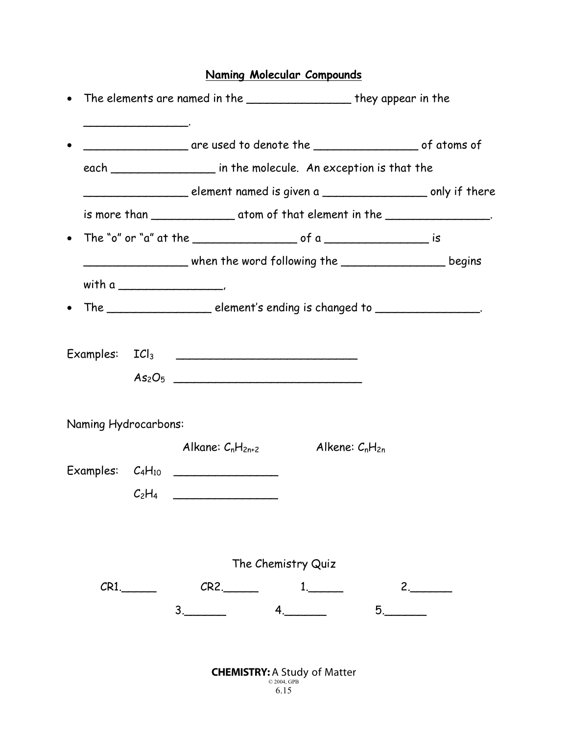## **Naming Molecular Compounds**

|           |                      |                                                                                         |                     | • The elements are named in the ____________________ they appear in the |  |  |
|-----------|----------------------|-----------------------------------------------------------------------------------------|---------------------|-------------------------------------------------------------------------|--|--|
| $\bullet$ |                      |                                                                                         |                     |                                                                         |  |  |
|           |                      | each _____________________ in the molecule. An exception is that the                    |                     |                                                                         |  |  |
|           |                      |                                                                                         |                     |                                                                         |  |  |
|           |                      |                                                                                         |                     |                                                                         |  |  |
|           |                      |                                                                                         |                     |                                                                         |  |  |
|           |                      | _________________________ when the word following the ___________________________begins |                     |                                                                         |  |  |
|           |                      |                                                                                         |                     |                                                                         |  |  |
|           |                      | The ________________________ element's ending is changed to ___________________.        |                     |                                                                         |  |  |
|           |                      |                                                                                         |                     |                                                                         |  |  |
|           |                      | As <sub>2</sub> O <sub>5</sub>                                                          |                     |                                                                         |  |  |
|           | Naming Hydrocarbons: |                                                                                         |                     |                                                                         |  |  |
|           |                      | Alkane: $C_nH_{2n+2}$                                                                   | Alkene: $C_nH_{2n}$ |                                                                         |  |  |
|           |                      |                                                                                         |                     |                                                                         |  |  |
|           |                      | $C_2H_4$                                                                                |                     |                                                                         |  |  |
|           |                      | The Chemistry Quiz                                                                      |                     |                                                                         |  |  |
|           | $CR1$ .              | $CR2$ .                                                                                 | $1$ .               |                                                                         |  |  |
|           |                      | 4.<br>3.                                                                                |                     | $5$ .                                                                   |  |  |
|           |                      |                                                                                         |                     |                                                                         |  |  |
|           |                      |                                                                                         |                     |                                                                         |  |  |

| <b>CHEMISTRY: A Study of Matter</b> |
|-------------------------------------|
| $\odot$ 2004. GPB                   |
|                                     |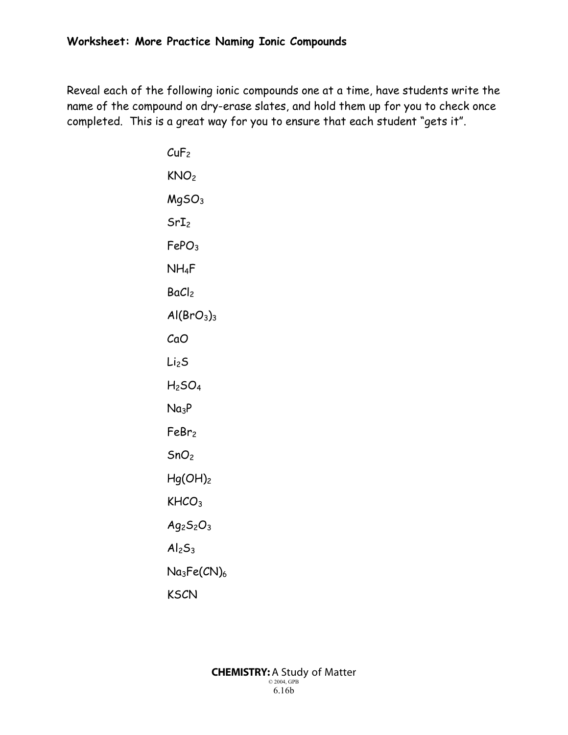Reveal each of the following ionic compounds one at a time, have students write the name of the compound on dry-erase slates, and hold them up for you to check once completed. This is a great way for you to ensure that each student "gets it".

> $CuF<sub>2</sub>$ KNO2 MgSO3  $SrI<sub>2</sub>$ FePO3 NH4F BaCl<sub>2</sub>  $Al(BrO<sub>3</sub>)<sub>3</sub>$ CaO Li2S  $H<sub>2</sub>SO<sub>4</sub>$  $Na<sub>3</sub>P$ FeBr2  $SnO<sub>2</sub>$  $Hg(OH)_2$ KHCO<sub>3</sub>  $Ag_2S_2O_3$  $Al<sub>2</sub>S<sub>3</sub>$  $Na<sub>3</sub>Fe(CN)<sub>6</sub>$ KSCN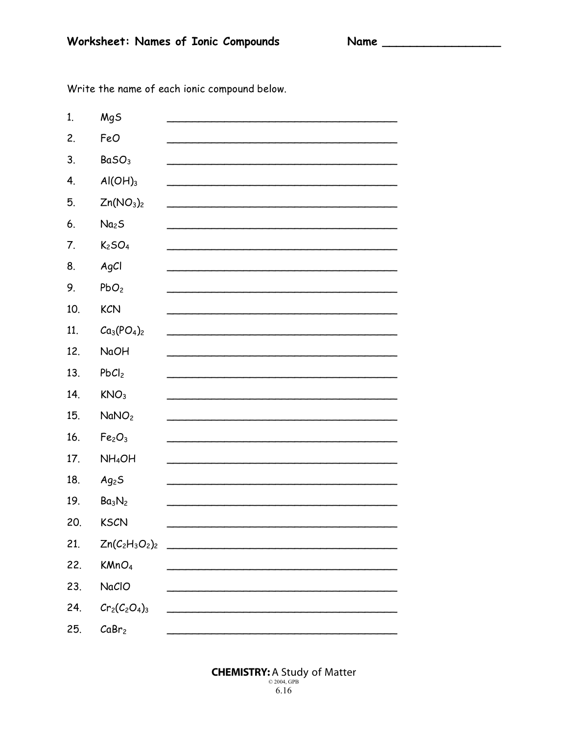Name

Write the name of each ionic compound below.

| 1.  | MgS                               |  |
|-----|-----------------------------------|--|
| 2.  | FeO                               |  |
| 3.  | BaSO <sub>3</sub>                 |  |
| 4.  | $AI(OH)_{3}$                      |  |
| 5.  | Zn(NO <sub>3</sub> ) <sub>2</sub> |  |
| 6.  | Na <sub>2</sub> S                 |  |
| 7.  | K <sub>2</sub> SO <sub>4</sub>    |  |
| 8.  | AgCl                              |  |
| 9.  | PbO <sub>2</sub>                  |  |
| 10. | <b>KCN</b>                        |  |
| 11. | $Ca_3(PO_4)_2$                    |  |
| 12. | <b>NaOH</b>                       |  |
| 13. | PbCl <sub>2</sub>                 |  |
| 14. | KNO <sub>3</sub>                  |  |
| 15. | NaNO <sub>2</sub>                 |  |
| 16. | Fe <sub>2</sub> O <sub>3</sub>    |  |
| 17. | NH <sub>4</sub> OH                |  |
| 18. | Ag <sub>2</sub> S                 |  |
| 19. | Ba <sub>3</sub> N <sub>2</sub>    |  |
| 20. | <b>KSCN</b>                       |  |
| 21. |                                   |  |
| 22. | KMnO <sub>4</sub>                 |  |
| 23. | NaCIO                             |  |
| 24. | $Cr_2(C_2O_4)_3$                  |  |
| 25. | CaBr <sub>2</sub>                 |  |